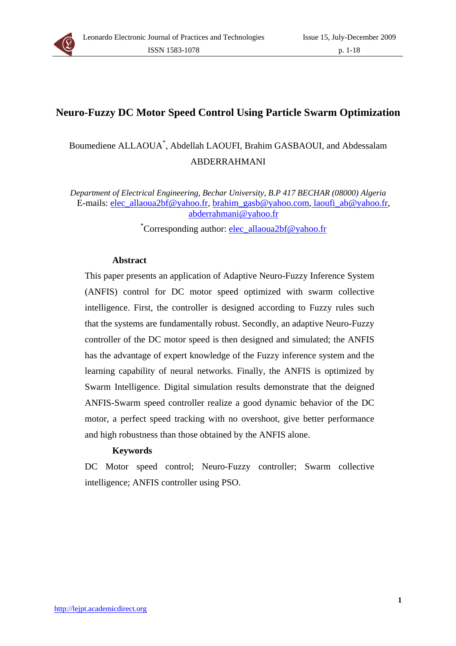

# **Neuro-Fuzzy DC Motor Speed Control Using Particle Swarm Optimization**

Boumediene ALLAOUA\* , Abdellah LAOUFI, Brahim GASBAOUI, and Abdessalam ABDERRAHMANI

*Department of Electrical Engineering, Bechar University, B.P 417 BECHAR (08000) Algeria*  E-mails: elec\_allaoua2bf@yahoo.fr, brahim\_gasb@yahoo.com, laoufi\_ab@yahoo.fr, abderrahmani@yahoo.fr

\*Corresponding author: **elec\_allaoua2bf@yahoo.fr** 

### **Abstract**

This paper presents an application of Adaptive Neuro-Fuzzy Inference System (ANFIS) control for DC motor speed optimized with swarm collective intelligence. First, the controller is designed according to Fuzzy rules such that the systems are fundamentally robust. Secondly, an adaptive Neuro-Fuzzy controller of the DC motor speed is then designed and simulated; the ANFIS has the advantage of expert knowledge of the Fuzzy inference system and the learning capability of neural networks. Finally, the ANFIS is optimized by Swarm Intelligence. Digital simulation results demonstrate that the deigned ANFIS-Swarm speed controller realize a good dynamic behavior of the DC motor, a perfect speed tracking with no overshoot, give better performance and high robustness than those obtained by the ANFIS alone.

# **Keywords**

DC Motor speed control; Neuro-Fuzzy controller; Swarm collective intelligence; ANFIS controller using PSO.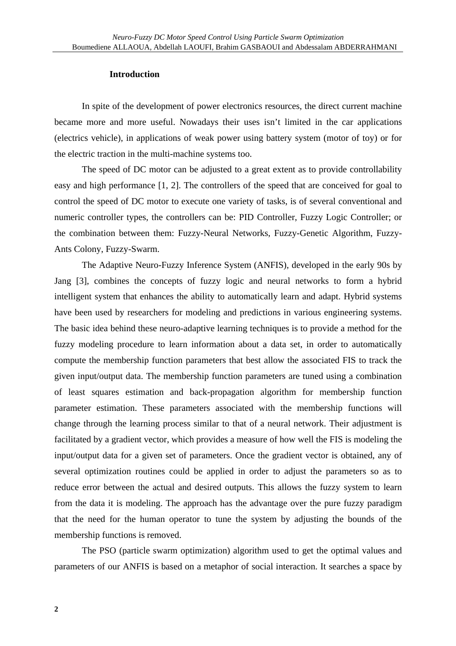### **Introduction**

In spite of the development of power electronics resources, the direct current machine became more and more useful. Nowadays their uses isn't limited in the car applications (electrics vehicle), in applications of weak power using battery system (motor of toy) or for the electric traction in the multi-machine systems too.

The speed of DC motor can be adjusted to a great extent as to provide controllability easy and high performance [1, 2]. The controllers of the speed that are conceived for goal to control the speed of DC motor to execute one variety of tasks, is of several conventional and numeric controller types, the controllers can be: PID Controller, Fuzzy Logic Controller; or the combination between them: Fuzzy-Neural Networks, Fuzzy-Genetic Algorithm, Fuzzy-Ants Colony, Fuzzy-Swarm.

The Adaptive Neuro-Fuzzy Inference System (ANFIS), developed in the early 90s by Jang [3], combines the concepts of fuzzy logic and neural networks to form a hybrid intelligent system that enhances the ability to automatically learn and adapt. Hybrid systems have been used by researchers for modeling and predictions in various engineering systems. The basic idea behind these neuro-adaptive learning techniques is to provide a method for the fuzzy modeling procedure to learn information about a data set, in order to automatically compute the membership function parameters that best allow the associated FIS to track the given input/output data. The membership function parameters are tuned using a combination of least squares estimation and back-propagation algorithm for membership function parameter estimation. These parameters associated with the membership functions will change through the learning process similar to that of a neural network. Their adjustment is facilitated by a gradient vector, which provides a measure of how well the FIS is modeling the input/output data for a given set of parameters. Once the gradient vector is obtained, any of several optimization routines could be applied in order to adjust the parameters so as to reduce error between the actual and desired outputs. This allows the fuzzy system to learn from the data it is modeling. The approach has the advantage over the pure fuzzy paradigm that the need for the human operator to tune the system by adjusting the bounds of the membership functions is removed.

The PSO (particle swarm optimization) algorithm used to get the optimal values and parameters of our ANFIS is based on a metaphor of social interaction. It searches a space by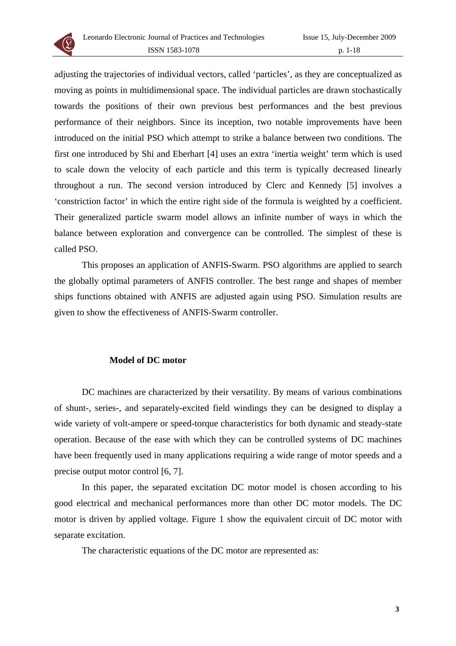

adjusting the trajectories of individual vectors, called 'particles', as they are conceptualized as moving as points in multidimensional space. The individual particles are drawn stochastically towards the positions of their own previous best performances and the best previous performance of their neighbors. Since its inception, two notable improvements have been introduced on the initial PSO which attempt to strike a balance between two conditions. The first one introduced by Shi and Eberhart [4] uses an extra 'inertia weight' term which is used to scale down the velocity of each particle and this term is typically decreased linearly throughout a run. The second version introduced by Clerc and Kennedy [5] involves a 'constriction factor' in which the entire right side of the formula is weighted by a coefficient. Their generalized particle swarm model allows an infinite number of ways in which the balance between exploration and convergence can be controlled. The simplest of these is called PSO.

This proposes an application of ANFIS-Swarm. PSO algorithms are applied to search the globally optimal parameters of ANFIS controller. The best range and shapes of member ships functions obtained with ANFIS are adjusted again using PSO. Simulation results are given to show the effectiveness of ANFIS-Swarm controller.

# **Model of DC motor**

DC machines are characterized by their versatility. By means of various combinations of shunt-, series-, and separately-excited field windings they can be designed to display a wide variety of volt-ampere or speed-torque characteristics for both dynamic and steady-state operation. Because of the ease with which they can be controlled systems of DC machines have been frequently used in many applications requiring a wide range of motor speeds and a precise output motor control [6, 7].

In this paper, the separated excitation DC motor model is chosen according to his good electrical and mechanical performances more than other DC motor models. The DC motor is driven by applied voltage. Figure 1 show the equivalent circuit of DC motor with separate excitation.

The characteristic equations of the DC motor are represented as: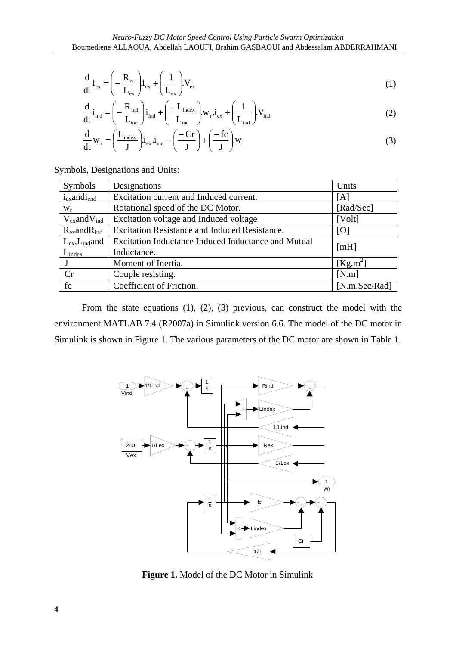$$
\frac{d}{dt}\mathbf{i}_{\text{ex}} = \left(-\frac{\mathbf{R}_{\text{ex}}}{\mathbf{L}_{\text{ex}}}\right)\mathbf{i}_{\text{ex}} + \left(\frac{1}{\mathbf{L}_{\text{ex}}}\right)\mathbf{V}_{\text{ex}}
$$
\n(1)

$$
\frac{d}{dt}\mathbf{i}_{ind} = \left(-\frac{R_{ind}}{L_{ind}}\right)\mathbf{i}_{ind} + \left(\frac{-L_{index}}{L_{ind}}\right)\mathbf{w}_{r}\mathbf{i}_{ex} + \left(\frac{1}{L_{ind}}\right)\mathbf{V}_{ind}
$$
\n(2)

$$
\frac{d}{dt} w_r = \left(\frac{L_{\text{index}}}{J}\right) i_{ex} i_{\text{ind}} + \left(\frac{-Cr}{J}\right) + \left(\frac{-fc}{J}\right) w_r \tag{3}
$$

Symbols, Designations and Units:

| Symbols                                | Designations                                        | Units                  |
|----------------------------------------|-----------------------------------------------------|------------------------|
| $i_{ex}$ and $i_{end}$                 | Excitation current and Induced current.             | [A]                    |
| $W_r$                                  | Rotational speed of the DC Motor.                   | [Rad/Sec]              |
| $V_{ex}$ and $V_{ind}$                 | Excitation voltage and Induced voltage              | [Vol <sub>t</sub> ]    |
| $R_{\rm ex}$ and $R_{\rm ind}$         | Excitation Resistance and Induced Resistance.       | $\lceil \Omega \rceil$ |
| $L_{\text{ex}}$ , $L_{\text{ind}}$ and | Excitation Inductance Induced Inductance and Mutual | [mH]                   |
| $L_{index}$                            | Inductance.                                         |                        |
|                                        | Moment of Inertia.                                  | $[Kg.m^2]$             |
| Cr                                     | Couple resisting.                                   | [N.m]                  |
| fc                                     | Coefficient of Friction.                            | [N.m.Sec/Rad]          |

From the state equations (1), (2), (3) previous, can construct the model with the environment MATLAB 7.4 (R2007a) in Simulink version 6.6. The model of the DC motor in Simulink is shown in Figure 1. The various parameters of the DC motor are shown in Table 1.



**Figure 1.** Model of the DC Motor in Simulink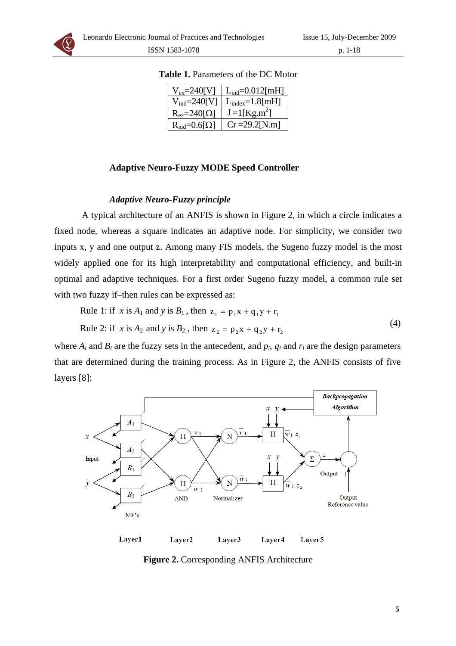

| $V_{ex} = 240[V]$            | $L_{ind} = 0.012$ [mH] |
|------------------------------|------------------------|
| $V_{ind} = 240[V]$           | $L_{index}=1.8$ [mH]   |
| $R_{ex} = 240 \Omega$        | $J = 1[Kg.m^2]$        |
| $R_{ind} = 0.6$ [ $\Omega$ ] | $Cr = 29.2$ [N.m]      |

**Table 1.** Parameters of the DC Motor

### **Adaptive Neuro-Fuzzy MODE Speed Controller**

# *Adaptive Neuro-Fuzzy principle*

A typical architecture of an ANFIS is shown in Figure 2, in which a circle indicates a fixed node, whereas a square indicates an adaptive node. For simplicity, we consider two inputs x, y and one output z. Among many FIS models, the Sugeno fuzzy model is the most widely applied one for its high interpretability and computational efficiency, and built-in optimal and adaptive techniques. For a first order Sugeno fuzzy model, a common rule set with two fuzzy if–then rules can be expressed as:

Rule 1: if *x* is  $A_1$  and *y* is  $B_1$ , then  $z_1 = p_1 x + q_1 y + r_1$ 

Rule 2: if *x* is  $A_2$  and *y* is  $B_2$ , then  $z_2 = p_2 x + q_2 y + r_2$ (4)

where  $A_i$  and  $B_i$  are the fuzzy sets in the antecedent, and  $p_i$ ,  $q_i$  and  $r_i$  are the design parameters that are determined during the training process. As in Figure 2, the ANFIS consists of five layers [8]:



**Figure 2.** Corresponding ANFIS Architecture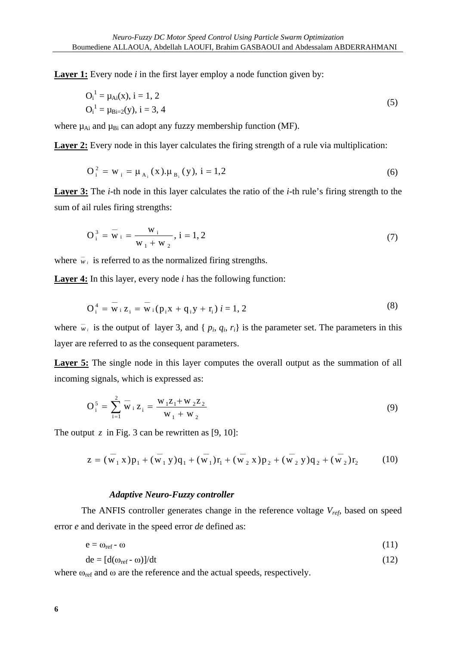**Layer 1:** Every node *i* in the first layer employ a node function given by:

$$
O_i^1 = \mu_{Ai}(x), i = 1, 2
$$
  
\n
$$
O_i^1 = \mu_{Bi=2}(y), i = 3, 4
$$
\n(5)

where  $\mu_{Ai}$  and  $\mu_{Bi}$  can adopt any fuzzy membership function (MF).

**Layer 2:** Every node in this layer calculates the firing strength of a rule via multiplication:

$$
O_i^2 = w_i = \mu_{A_i}(x) . \mu_{B_i}(y), i = 1,2
$$
 (6)

**Layer 3:** The *i*-th node in this layer calculates the ratio of the *i*-th rule's firing strength to the sum of ail rules firing strengths:

$$
O_i^3 = \overline{w}_i = \frac{w_i}{w_1 + w_2}, i = 1, 2
$$
 (7)

where  $\bar{w}_i$  is referred to as the normalized firing strengths.

**Layer 4:** In this layer, every node *i* has the following function:

$$
O_i^4 = \overline{w}_i z_i = \overline{w}_i (p_i x + q_i y + r_i) i = 1, 2
$$
 (8)

where  $\bar{w}_i$  is the output of layer 3, and {  $p_i$ ,  $q_i$ ,  $r_i$ } is the parameter set. The parameters in this layer are referred to as the consequent parameters.

Layer 5: The single node in this layer computes the overall output as the summation of all incoming signals, which is expressed as:

$$
O_i^5 = \sum_{i=1}^2 \overline{w}_i z_i = \frac{w_1 z_1 + w_2 z_2}{w_1 + w_2}
$$
 (9)

The output  $\zeta$  in Fig. 3 can be rewritten as [9, 10]:

$$
z = (\overline{w}_1 x)p_1 + (\overline{w}_1 y)q_1 + (\overline{w}_1)r_1 + (\overline{w}_2 x)p_2 + (\overline{w}_2 y)q_2 + (\overline{w}_2)r_2
$$
 (10)

#### *Adaptive Neuro-Fuzzy controller*

The ANFIS controller generates change in the reference voltage *Vref*, based on speed error *e* and derivate in the speed error *de* defined as:

$$
e = \omega_{ref} - \omega \tag{11}
$$

$$
\text{de} = \left[\text{d}(\omega_{\text{ref}} - \omega)\right]/\text{dt} \tag{12}
$$

where  $\omega_{\text{ref}}$  and  $\omega$  are the reference and the actual speeds, respectively.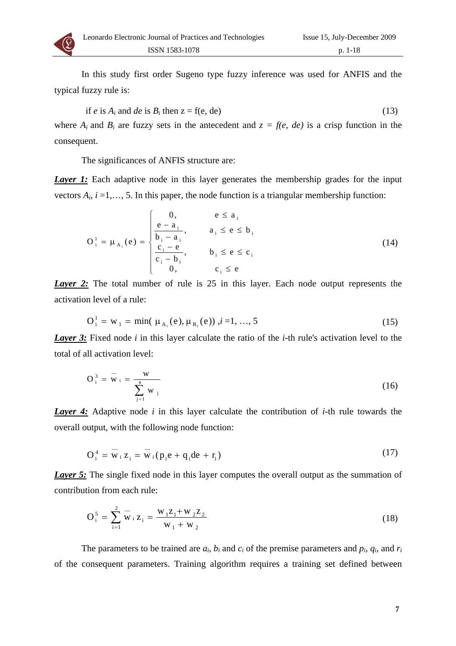

In this study first order Sugeno type fuzzy inference was used for ANFIS and the typical fuzzy rule is:

if *e* is 
$$
A_i
$$
 and *de* is  $B_i$  then  $z = f(e, de)$  (13)

where  $A_i$  and  $B_i$  are fuzzy sets in the antecedent and  $z = f(e, de)$  is a crisp function in the consequent.

The significances of ANFIS structure are:

*Layer 1:* Each adaptive node in this layer generates the membership grades for the input vectors  $A_i$ ,  $i = 1, \ldots, 5$ . In this paper, the node function is a triangular membership function:

$$
O_{i}^{1} = \mu_{A_{i}}(e) = \begin{cases} 0, & e \le a_{i} \\ \frac{e - a_{i}}{b_{i} - a_{i}}, & a_{i} \le e \le b_{i} \\ \frac{c_{i} - e}{c_{i} - b_{i}}, & b_{i} \le e \le c_{i} \\ 0, & c_{i} \le e \end{cases}
$$
(14)

*Layer 2:* The total number of rule is 25 in this layer. Each node output represents the activation level of a rule:

$$
O_i^1 = w_1 = \min(\mu_{A_i}(e), \mu_{B_i}(e)), i = 1, ..., 5
$$
 (15)

*Layer 3:* Fixed node *i* in this layer calculate the ratio of the *i*-th rule's activation level to the total of all activation level:

$$
O_i^3 = \overline{w}_i = \frac{w}{\sum_{j=1}^n w_j}
$$
 (16)

*Layer 4:* Adaptive node *i* in this layer calculate the contribution of *i*-th rule towards the overall output, with the following node function:

$$
O_i^4 = \overline{w}_i z_i = \overline{w}_i (p_i e + q_i d e + r_i)
$$
 (17)

*Layer 5:* The single fixed node in this layer computes the overall output as the summation of contribution from each rule:

$$
O_i^5 = \sum_{i=1}^2 \overline{w}_i z_i = \frac{w_1 z_1 + w_2 z_2}{w_1 + w_2}
$$
 (18)

The parameters to be trained are  $a_i$ ,  $b_i$  and  $c_i$  of the premise parameters and  $p_i$ ,  $q_i$ , and  $r_i$ of the consequent parameters. Training algorithm requires a training set defined between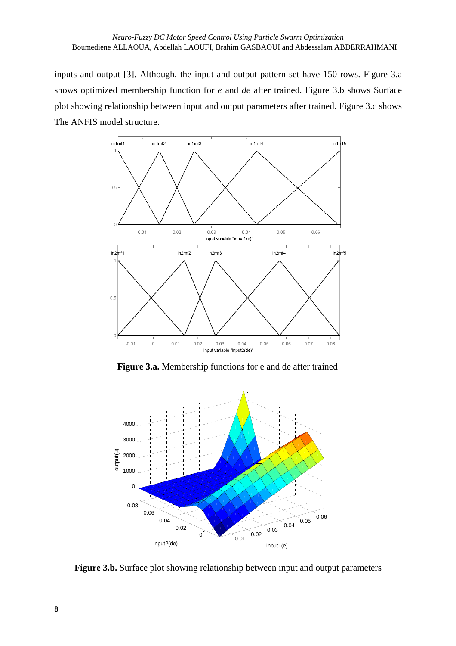inputs and output [3]. Although, the input and output pattern set have 150 rows. Figure 3.a shows optimized membership function for *e* and *de* after trained. Figure 3.b shows Surface plot showing relationship between input and output parameters after trained. Figure 3.c shows The ANFIS model structure.



**Figure 3.a.** Membership functions for e and de after trained



**Figure 3.b.** Surface plot showing relationship between input and output parameters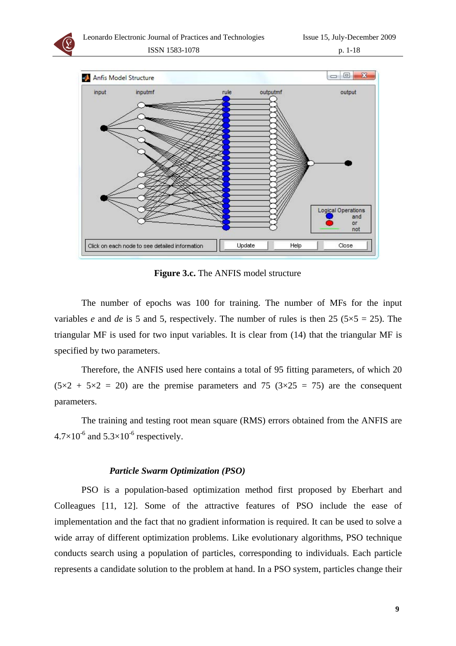



**Figure 3.c.** The ANFIS model structure

The number of epochs was 100 for training. The number of MFs for the input variables *e* and *de* is 5 and 5, respectively. The number of rules is then 25 ( $5 \times 5 = 25$ ). The triangular MF is used for two input variables. It is clear from (14) that the triangular MF is specified by two parameters.

Therefore, the ANFIS used here contains a total of 95 fitting parameters, of which 20  $(5 \times 2 + 5 \times 2 = 20)$  are the premise parameters and 75  $(3 \times 25 = 75)$  are the consequent parameters.

The training and testing root mean square (RMS) errors obtained from the ANFIS are  $4.7\times10^{-6}$  and  $5.3\times10^{-6}$  respectively.

# *Particle Swarm Optimization (PSO)*

PSO is a population-based optimization method first proposed by Eberhart and Colleagues [11, 12]. Some of the attractive features of PSO include the ease of implementation and the fact that no gradient information is required. It can be used to solve a wide array of different optimization problems. Like evolutionary algorithms, PSO technique conducts search using a population of particles, corresponding to individuals. Each particle represents a candidate solution to the problem at hand. In a PSO system, particles change their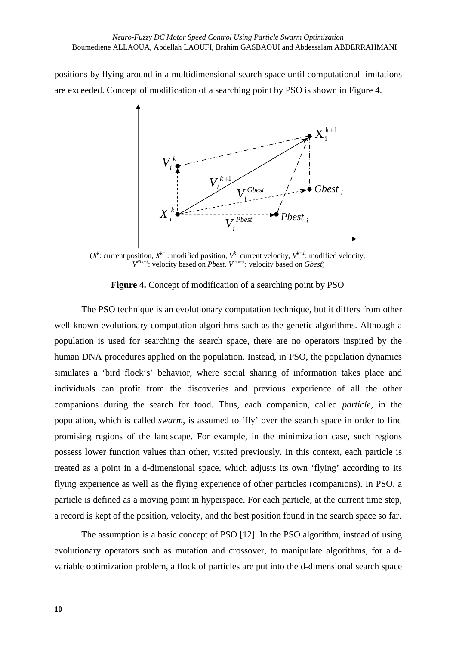positions by flying around in a multidimensional search space until computational limitations are exceeded. Concept of modification of a searching point by PSO is shown in Figure 4.



 $(X^k$ : current position,  $X^{k+1}$ : modified position,  $V^k$ : current velocity,  $V^{k+1}$ : modified velocity, *VPbest*: velocity based on *Pbest*, *V*Gbest: velocity based on *Gbest*)

**Figure 4.** Concept of modification of a searching point by PSO

The PSO technique is an evolutionary computation technique, but it differs from other well-known evolutionary computation algorithms such as the genetic algorithms. Although a population is used for searching the search space, there are no operators inspired by the human DNA procedures applied on the population. Instead, in PSO, the population dynamics simulates a 'bird flock's' behavior, where social sharing of information takes place and individuals can profit from the discoveries and previous experience of all the other companions during the search for food. Thus, each companion, called *particle*, in the population, which is called *swarm*, is assumed to 'fly' over the search space in order to find promising regions of the landscape. For example, in the minimization case, such regions possess lower function values than other, visited previously. In this context, each particle is treated as a point in a d-dimensional space, which adjusts its own 'flying' according to its flying experience as well as the flying experience of other particles (companions). In PSO, a particle is defined as a moving point in hyperspace. For each particle, at the current time step, a record is kept of the position, velocity, and the best position found in the search space so far.

The assumption is a basic concept of PSO [12]. In the PSO algorithm, instead of using evolutionary operators such as mutation and crossover, to manipulate algorithms, for a dvariable optimization problem, a flock of particles are put into the d-dimensional search space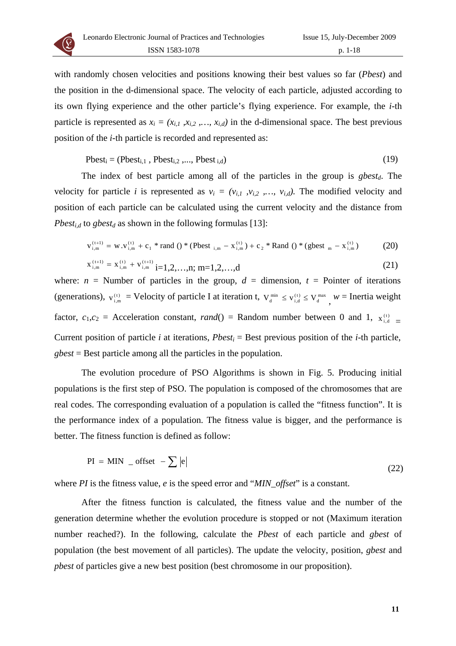

with randomly chosen velocities and positions knowing their best values so far (*Pbest*) and the position in the d-dimensional space. The velocity of each particle, adjusted according to its own flying experience and the other particle's flying experience. For example, the *i*-th particle is represented as  $x_i = (x_{i,1}, x_{i,2}, ..., x_{i,d})$  in the d-dimensional space. The best previous position of the *i*-th particle is recorded and represented as:

$$
Pbest_i = (Pbest_{i,1}, Pbest_{i,2}, ..., Pbest_{i,d})
$$
\n(19)

The index of best particle among all of the particles in the group is *gbestd*. The velocity for particle *i* is represented as  $v_i = (v_{i,1}, v_{i,2}, \ldots, v_{i,d})$ . The modified velocity and position of each particle can be calculated using the current velocity and the distance from *Pbest<sub>i,d</sub>* to *gbest<sub>d</sub>* as shown in the following formulas [13]:

$$
v_{i,m}^{(t+1)} = w \cdot v_{i,m}^{(t)} + c_1 * \text{rand }() * (\text{Pbest }_{i,m} - x_{i,m}^{(t)}) + c_2 * \text{Rand }() * (\text{gbest }_{m} - x_{i,m}^{(t)})
$$
 (20)

$$
x_{i,m}^{(t+1)} = x_{i,m}^{(t)} + v_{i,m}^{(t+1)} \underline{i} = 1,2,...,n; m = 1,2,...,d
$$
\n(21)

where:  $n =$  Number of particles in the group,  $d =$  dimension,  $t =$  Pointer of iterations (generations),  $v_{i,m}^{(t)}$  = Velocity of particle I at iteration t,  $V_d^{min} \le v_{i,d}^{(t)} \le V_d^{max}$ ,  $w =$  Inertia weight factor,  $c_1, c_2$  = Acceleration constant, *rand*() = Random number between 0 and 1,  $x_{i,d}^{(t)}$  = Current position of particle *i* at iterations,  $Pbest_i = Best$  previous position of the *i*-th particle, *gbest* = Best particle among all the particles in the population.

The evolution procedure of PSO Algorithms is shown in Fig. 5. Producing initial populations is the first step of PSO. The population is composed of the chromosomes that are real codes. The corresponding evaluation of a population is called the "fitness function". It is the performance index of a population. The fitness value is bigger, and the performance is better. The fitness function is defined as follow:

$$
PI = MIN \toffset \t- \sum |e| \t(22)
$$

where *PI* is the fitness value, *e* is the speed error and "*MIN\_offset*" is a constant.

After the fitness function is calculated, the fitness value and the number of the generation determine whether the evolution procedure is stopped or not (Maximum iteration number reached?). In the following, calculate the *Pbest* of each particle and *gbest* of population (the best movement of all particles). The update the velocity, position, *gbest* and *pbest* of particles give a new best position (best chromosome in our proposition).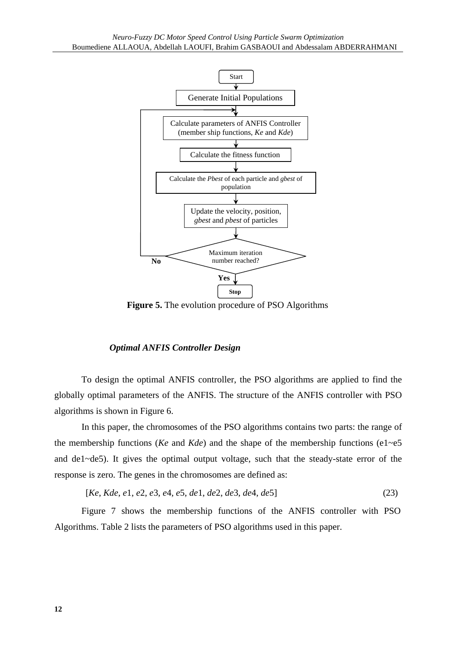

**Figure 5.** The evolution procedure of PSO Algorithms

# *Optimal ANFIS Controller Design*

To design the optimal ANFIS controller, the PSO algorithms are applied to find the globally optimal parameters of the ANFIS. The structure of the ANFIS controller with PSO algorithms is shown in Figure 6.

In this paper, the chromosomes of the PSO algorithms contains two parts: the range of the membership functions (*Ke* and *Kde*) and the shape of the membership functions (e1 $\sim$ e5 and de1~de5). It gives the optimal output voltage, such that the steady-state error of the response is zero. The genes in the chromosomes are defined as:

$$
[Ke, Kde, e1, e2, e3, e4, e5, de1, de2, de3, de4, de5]
$$
\n
$$
(23)
$$

Figure 7 shows the membership functions of the ANFIS controller with PSO Algorithms. Table 2 lists the parameters of PSO algorithms used in this paper.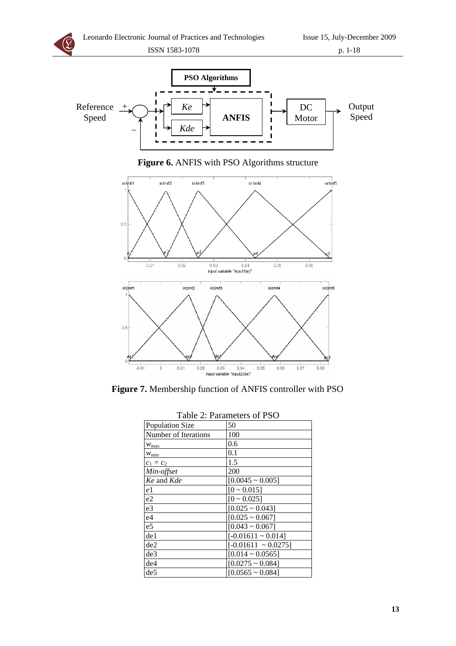

| $-0.01$ | 0.01 | 0.02 | 0.03 | 0.04                        | 0.05 | 0.06 | 0.07 | 0.08 |
|---------|------|------|------|-----------------------------|------|------|------|------|
|         |      |      |      | input variable "input2(de)" |      |      |      |      |

**Figure 7.** Membership function of ANFIS controller with PSO

| TAUIC 2. FAIAIIICICIS UI FISU |                       |  |  |  |  |
|-------------------------------|-----------------------|--|--|--|--|
| <b>Population Size</b>        | 50                    |  |  |  |  |
| Number of Iterations          | 100                   |  |  |  |  |
| $W_{\text{max}}$              | 0.6                   |  |  |  |  |
| $w_{\text{min}}$              | 0.1                   |  |  |  |  |
| $c_1 = c_2$                   | 1.5                   |  |  |  |  |
| Min-offset                    | 200                   |  |  |  |  |
| Ke and Kde                    | $[0.0045 \sim 0.005]$ |  |  |  |  |
| e1                            | $[0 \sim 0.015]$      |  |  |  |  |
| e2                            | $[0 \sim 0.025]$      |  |  |  |  |
| e <sub>3</sub>                | $[0.025 \sim 0.043]$  |  |  |  |  |
| e <sub>4</sub>                | $[0.025 \sim 0.067]$  |  |  |  |  |
| e <sub>5</sub>                | $[0.043 \sim 0.067]$  |  |  |  |  |
| de 1                          | $[-0.01611 - 0.014]$  |  |  |  |  |
| de2                           | $[-0.01611 - 0.0275]$ |  |  |  |  |
| de3                           | $[0.014 \sim 0.0565]$ |  |  |  |  |
| de4                           | $[0.0275 \sim 0.084]$ |  |  |  |  |
| de5                           | $[0.0565 \sim 0.084]$ |  |  |  |  |

| Table 2: Parameters of PSO |
|----------------------------|
|----------------------------|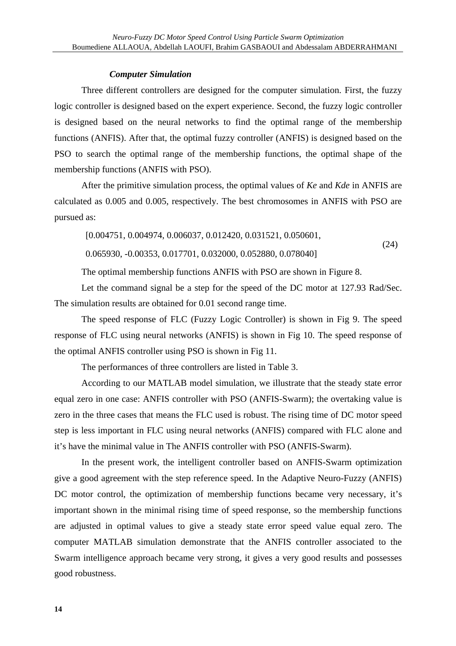# *Computer Simulation*

Three different controllers are designed for the computer simulation. First, the fuzzy logic controller is designed based on the expert experience. Second, the fuzzy logic controller is designed based on the neural networks to find the optimal range of the membership functions (ANFIS). After that, the optimal fuzzy controller (ANFIS) is designed based on the PSO to search the optimal range of the membership functions, the optimal shape of the membership functions (ANFIS with PSO).

After the primitive simulation process, the optimal values of *Ke* and *Kde* in ANFIS are calculated as 0.005 and 0.005, respectively. The best chromosomes in ANFIS with PSO are pursued as:

[0.004751, 0.004974, 0.006037, 0.012420, 0.031521, 0.050601,

(24)

0.065930, -0.00353, 0.017701, 0.032000, 0.052880, 0.078040]

The optimal membership functions ANFIS with PSO are shown in Figure 8.

Let the command signal be a step for the speed of the DC motor at 127.93 Rad/Sec. The simulation results are obtained for 0.01 second range time.

The speed response of FLC (Fuzzy Logic Controller) is shown in Fig 9. The speed response of FLC using neural networks (ANFIS) is shown in Fig 10. The speed response of the optimal ANFIS controller using PSO is shown in Fig 11.

The performances of three controllers are listed in Table 3.

According to our MATLAB model simulation, we illustrate that the steady state error equal zero in one case: ANFIS controller with PSO (ANFIS-Swarm); the overtaking value is zero in the three cases that means the FLC used is robust. The rising time of DC motor speed step is less important in FLC using neural networks (ANFIS) compared with FLC alone and it's have the minimal value in The ANFIS controller with PSO (ANFIS-Swarm).

In the present work, the intelligent controller based on ANFIS-Swarm optimization give a good agreement with the step reference speed. In the Adaptive Neuro-Fuzzy (ANFIS) DC motor control, the optimization of membership functions became very necessary, it's important shown in the minimal rising time of speed response, so the membership functions are adjusted in optimal values to give a steady state error speed value equal zero. The computer MATLAB simulation demonstrate that the ANFIS controller associated to the Swarm intelligence approach became very strong, it gives a very good results and possesses good robustness.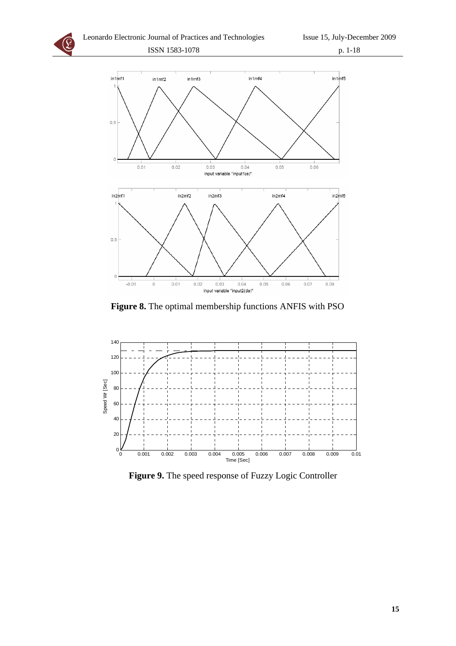

ISSN 1583-1078

p. 1-18



**Figure 8.** The optimal membership functions ANFIS with PSO



**Figure 9.** The speed response of Fuzzy Logic Controller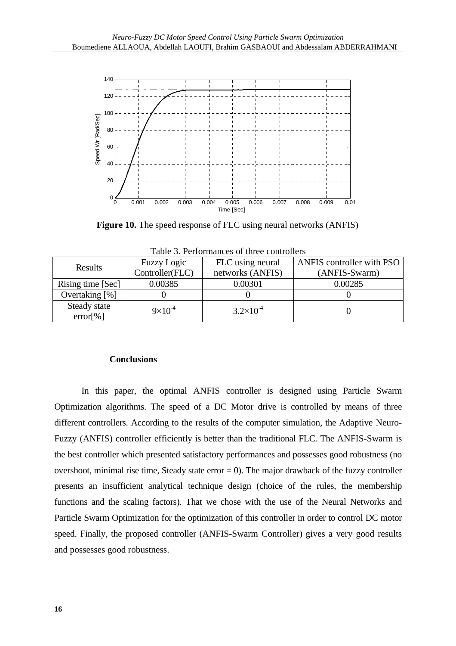

**Figure 10.** The speed response of FLC using neural networks (ANFIS)

| Results           | <b>Fuzzy Logic</b> | FLC using neural   | <b>ANFIS</b> controller with PSO |  |  |
|-------------------|--------------------|--------------------|----------------------------------|--|--|
|                   | Controller(FLC)    | networks (ANFIS)   | (ANFIS-Swarm)                    |  |  |
| Rising time [Sec] | 0.00385            | 0.00301            | 0.00285                          |  |  |
| Overtaking $[%]$  |                    |                    |                                  |  |  |
| Steady state      | $9 \times 10^{-4}$ | $3.2\times10^{-4}$ |                                  |  |  |
| error[%]          |                    |                    |                                  |  |  |

Table 3. Performances of three controllers

# **Conclusions**

In this paper, the optimal ANFIS controller is designed using Particle Swarm Optimization algorithms. The speed of a DC Motor drive is controlled by means of three different controllers. According to the results of the computer simulation, the Adaptive Neuro-Fuzzy (ANFIS) controller efficiently is better than the traditional FLC. The ANFIS-Swarm is the best controller which presented satisfactory performances and possesses good robustness (no overshoot, minimal rise time, Steady state error  $= 0$ ). The major drawback of the fuzzy controller presents an insufficient analytical technique design (choice of the rules, the membership functions and the scaling factors). That we chose with the use of the Neural Networks and Particle Swarm Optimization for the optimization of this controller in order to control DC motor speed. Finally, the proposed controller (ANFIS-Swarm Controller) gives a very good results and possesses good robustness.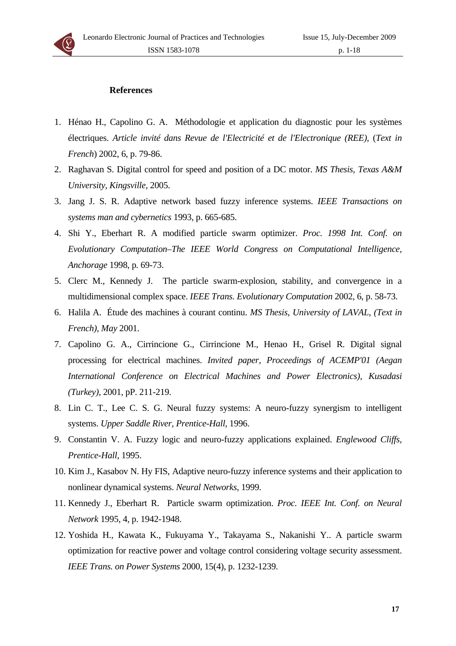

### **References**

- 1. Hénao H., Capolino G. A. Méthodologie et application du diagnostic pour les systèmes électriques. *Article invité dans Revue de l'Electricité et de l'Electronique (REE),* (*Text in French*) 2002, 6, p. 79-86.
- 2. Raghavan S. Digital control for speed and position of a DC motor. *MS Thesis, Texas A&M University, Kingsville,* 2005.
- 3. Jang J. S. R. Adaptive network based fuzzy inference systems. *IEEE Transactions on systems man and cybernetics* 1993*,* p. 665-685.
- 4. Shi Y., Eberhart R. A modified particle swarm optimizer. *Proc. 1998 Int. Conf. on Evolutionary Computation–The IEEE World Congress on Computational Intelligence, Anchorage* 1998, p*.* 69-73.
- 5. Clerc M., Kennedy J. The particle swarm-explosion, stability, and convergence in a multidimensional complex space. *IEEE Trans. Evolutionary Computation* 2002, 6, p. 58-73.
- 6. Halila A. Étude des machines à courant continu. *MS Thesis, University of LAVAL, (Text in French), May* 2001.
- 7. Capolino G. A., Cirrincione G., Cirrincione M., Henao H., Grisel R. Digital signal processing for electrical machines. *Invited paper, Proceedings of ACEMP'01 (Aegan International Conference on Electrical Machines and Power Electronics), Kusadasi (Turkey),* 2001, pP. 211-219.
- 8. Lin C. T., Lee C. S. G. Neural fuzzy systems: A neuro-fuzzy synergism to intelligent systems. *Upper Saddle River, Prentice-Hall,* 1996.
- 9. Constantin V. A. Fuzzy logic and neuro-fuzzy applications explained. *Englewood Cliffs, Prentice-Hall,* 1995.
- 10. Kim J., Kasabov N. Hy FIS, Adaptive neuro-fuzzy inference systems and their application to nonlinear dynamical systems. *Neural Networks*, 1999.
- 11. Kennedy J., Eberhart R. Particle swarm optimization. *Proc. IEEE Int. Conf. on Neural Network* 1995, 4, p. 1942-1948.
- 12. Yoshida H., Kawata K., Fukuyama Y., Takayama S., Nakanishi Y.. A particle swarm optimization for reactive power and voltage control considering voltage security assessment. *IEEE Trans. on Power Systems* 2000, 15(4), p. 1232-1239.